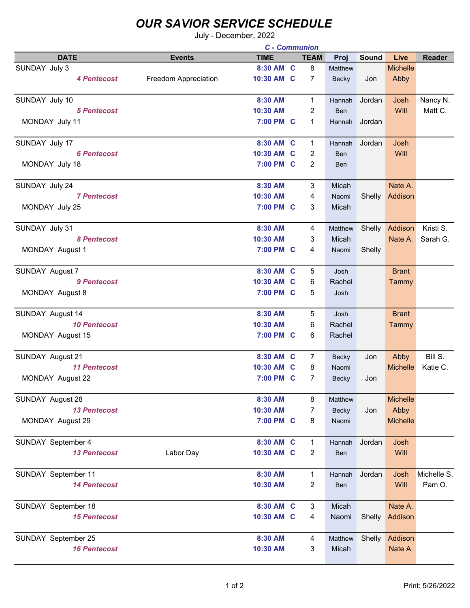## OUR SAVIOR SERVICE SCHEDULE

July - December, 2022

|                     |                      | <b>C</b> - Communion |  |                |               |        |                 |             |
|---------------------|----------------------|----------------------|--|----------------|---------------|--------|-----------------|-------------|
| <b>DATE</b>         | <b>Events</b>        | <b>TIME</b>          |  | <b>TEAM</b>    | Proj          | Sound  | Live            | Reader      |
| SUNDAY July 3       |                      | 8:30 AM C            |  | 8              | Matthew       |        | <b>Michelle</b> |             |
| <b>4 Pentecost</b>  | Freedom Appreciation | 10:30 AM C           |  | $\overline{7}$ | Becky         | Jon    | Abby            |             |
|                     |                      |                      |  |                |               |        |                 |             |
| SUNDAY July 10      |                      | 8:30 AM              |  | $\mathbf{1}$   | Hannah        | Jordan | Josh            | Nancy N.    |
| <b>5 Pentecost</b>  |                      | 10:30 AM             |  | $\overline{2}$ | Ben           |        | Will            | Matt C.     |
| MONDAY July 11      |                      | 7:00 PM C            |  | 1              | <b>Hannah</b> | Jordan |                 |             |
|                     |                      |                      |  |                |               |        |                 |             |
| SUNDAY July 17      |                      | 8:30 AM C            |  | $\mathbf 1$    | Hannah        | Jordan | Josh            |             |
| <b>6 Pentecost</b>  |                      | 10:30 AM C           |  | 2              | <b>Ben</b>    |        | Will            |             |
| MONDAY July 18      |                      | 7:00 PM C            |  | 2              | <b>Ben</b>    |        |                 |             |
| SUNDAY July 24      |                      | 8:30 AM              |  | 3              | Micah         |        | Nate A.         |             |
| <b>7 Pentecost</b>  |                      | 10:30 AM             |  | 4              | Naomi         | Shelly | Addison         |             |
| MONDAY July 25      |                      | 7:00 PM C            |  | 3              | Micah         |        |                 |             |
|                     |                      |                      |  |                |               |        |                 |             |
| SUNDAY July 31      |                      | 8:30 AM              |  | 4              | Matthew       | Shelly | Addison         | Kristi S.   |
| <b>8 Pentecost</b>  |                      | 10:30 AM             |  | 3              | Micah         |        | Nate A.         | Sarah G.    |
| MONDAY August 1     |                      | 7:00 PM C            |  | 4              | Naomi         | Shelly |                 |             |
| SUNDAY August 7     |                      | 8:30 AM C            |  | 5              | Josh          |        | <b>Brant</b>    |             |
| 9 Pentecost         |                      | 10:30 AM C           |  | 6              | Rachel        |        | Tammy           |             |
| MONDAY August 8     |                      | 7:00 PM C            |  | 5              | Josh          |        |                 |             |
|                     |                      |                      |  |                |               |        |                 |             |
| SUNDAY August 14    |                      | 8:30 AM              |  | 5              | Josh          |        | <b>Brant</b>    |             |
| <b>10 Pentecost</b> |                      | 10:30 AM             |  | 6              | Rachel        |        | Tammy           |             |
| MONDAY August 15    |                      | 7:00 PM C            |  | 6              | Rachel        |        |                 |             |
| SUNDAY August 21    |                      | 8:30 AM C            |  | $\overline{7}$ | Becky         | Jon    | Abby            | Bill S.     |
| <b>11 Pentecost</b> |                      | 10:30 AM C           |  | 8              | Naomi         |        | <b>Michelle</b> | Katie C.    |
| MONDAY August 22    |                      | 7:00 PM C            |  | 7              | Becky         | Jon    |                 |             |
|                     |                      |                      |  |                |               |        |                 |             |
| SUNDAY August 28    |                      | 8:30 AM              |  | 8              | Matthew       |        | Michelle        |             |
| <b>13 Pentecost</b> |                      | 10:30 AM             |  | $\overline{7}$ | Becky         | Jon    | Abby            |             |
| MONDAY August 29    |                      | 7:00 PM C            |  | 8              | Naomi         |        | <b>Michelle</b> |             |
| SUNDAY September 4  |                      | 8:30 AM C            |  | $\mathbf{1}$   | Hannah        | Jordan | Josh            |             |
| <b>13 Pentecost</b> | Labor Day            | 10:30 AM C           |  | $\overline{2}$ | Ben           |        | Will            |             |
|                     |                      |                      |  |                |               |        |                 |             |
| SUNDAY September 11 |                      | 8:30 AM              |  | $\mathbf{1}$   | Hannah        | Jordan | Josh            | Michelle S. |
| <b>14 Pentecost</b> |                      | 10:30 AM             |  | $\overline{c}$ | Ben           |        | Will            | Pam O.      |
|                     |                      |                      |  |                |               |        |                 |             |
| SUNDAY September 18 |                      | 8:30 AM C            |  | 3              | Micah         |        | Nate A.         |             |
| <b>15 Pentecost</b> |                      | 10:30 AM C           |  | 4              | Naomi         | Shelly | Addison         |             |
|                     |                      |                      |  |                |               |        |                 |             |
| SUNDAY September 25 |                      | 8:30 AM              |  | 4              | Matthew       | Shelly | Addison         |             |
| <b>16 Pentecost</b> |                      | 10:30 AM             |  | 3              | Micah         |        | Nate A.         |             |